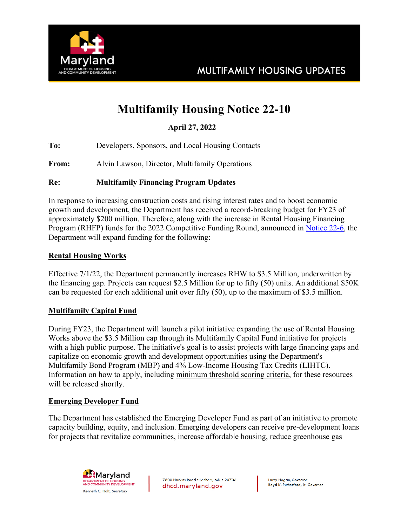

# **Multifamily Housing Notice 22-10**

 **April 27, 2022**

**To:** Developers, Sponsors, and Local Housing Contacts

**From:** Alvin Lawson, Director, Multifamily Operations

#### **Re: Multifamily Financing Program Updates**

In response to increasing construction costs and rising interest rates and to boost economic growth and development, the Department has received a record-breaking budget for FY23 of approximately \$200 million. Therefore, along with the increase in Rental Housing Financing Program (RHFP) funds for the 2022 Competitive Funding Round, announced in Notice 22-6, the Department will expand funding for the following:

#### **Rental Housing Works**

Effective 7/1/22, the Department permanently increases RHW to \$3.5 Million, underwritten by the financing gap. Projects can request \$2.5 Million for up to fifty (50) units. An additional \$50K can be requested for each additional unit over fifty (50), up to the maximum of \$3.5 million.

### **Multifamily Capital Fund**

During FY23, the Department will launch a pilot initiative expanding the use of Rental Housing Works above the \$3.5 Million cap through its Multifamily Capital Fund initiative for projects with a high public purpose. The initiative's goal is to assist projects with large financing gaps and capitalize on economic growth and development opportunities using the Department's Multifamily Bond Program (MBP) and 4% Low-Income Housing Tax Credits (LIHTC). Information on how to apply, including minimum threshold scoring criteria, for these resources will be released shortly.

#### **Emerging Developer Fund**

The Department has established the Emerging Developer Fund as part of an initiative to promote capacity building, equity, and inclusion. Emerging developers can receive pre-development loans for projects that revitalize communities, increase affordable housing, reduce greenhouse gas



7800 Harkins Road . Lanham, MD . 20706 dhcd.maryland.gov

Larry Hogan, Governor Boyd K. Rutherford, Lt. Governor